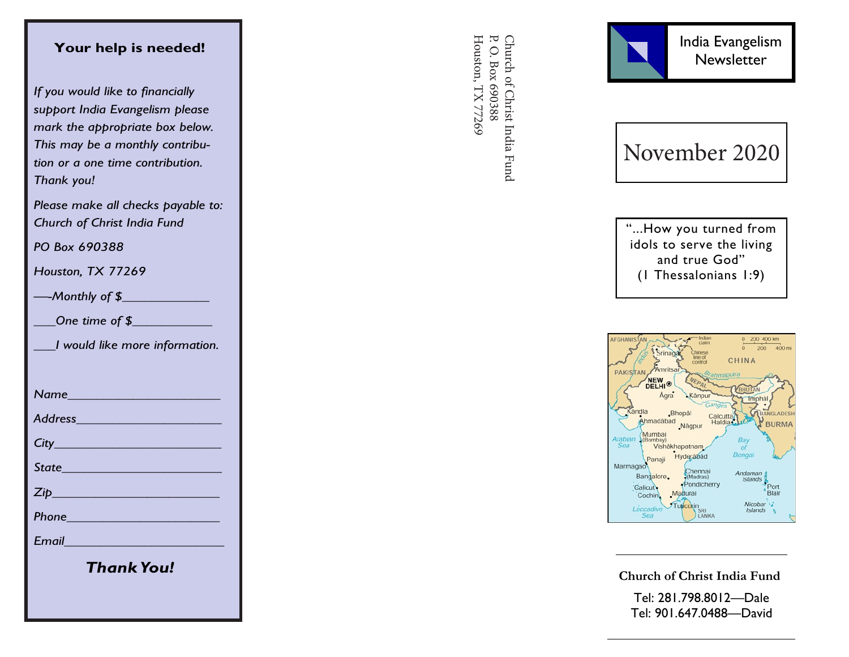## **Your help is needed!**

*If you would like to financially support India Evangelism please mark the appropriate box below. This may be a monthly contribution or a one time contribution. Thank you!*

*Please make all checks payable to: Church of Christ India Fund*

*PO Box 690388*

*Houston, TX 77269*

*—-Monthly of \$\_\_\_\_\_\_\_\_\_\_\_\_*

*\_\_\_One time of \$\_\_\_\_\_\_\_\_\_\_\_*

*\_\_\_I would like more information.*

*Name\_\_\_\_\_\_\_\_\_\_\_\_\_\_\_\_\_\_\_\_\_*

*Address\_\_\_\_\_\_\_\_\_\_\_\_\_\_\_\_\_\_\_\_*

*City\_\_\_\_\_\_\_\_\_\_\_\_\_\_\_\_\_\_\_\_\_\_\_*

*State\_\_\_\_\_\_\_\_\_\_\_\_\_\_\_\_\_\_\_\_\_\_*

*Zip\_\_\_\_\_\_\_\_\_\_\_\_\_\_\_\_\_\_\_\_\_\_\_*

*Phone\_\_\_\_\_\_\_\_\_\_\_\_\_\_\_\_\_\_\_\_\_*

*Email\_\_\_\_\_\_\_\_\_\_\_\_\_\_\_\_\_\_\_\_\_\_*

*Thank You!*

Church of Christ India Fund<br>P. O. Box 690388 Houston, TX 77269 Houston, TX 77269 P. O. Box 690388 Church of Christ India Fund



November 2020

"...How you turned from idols to serve the living and true God" (1 Thessalonians 1:9)



**Church of Christ India Fund**

Tel: 281.798.8012 —Dale Tel: 901.647.0488 —David